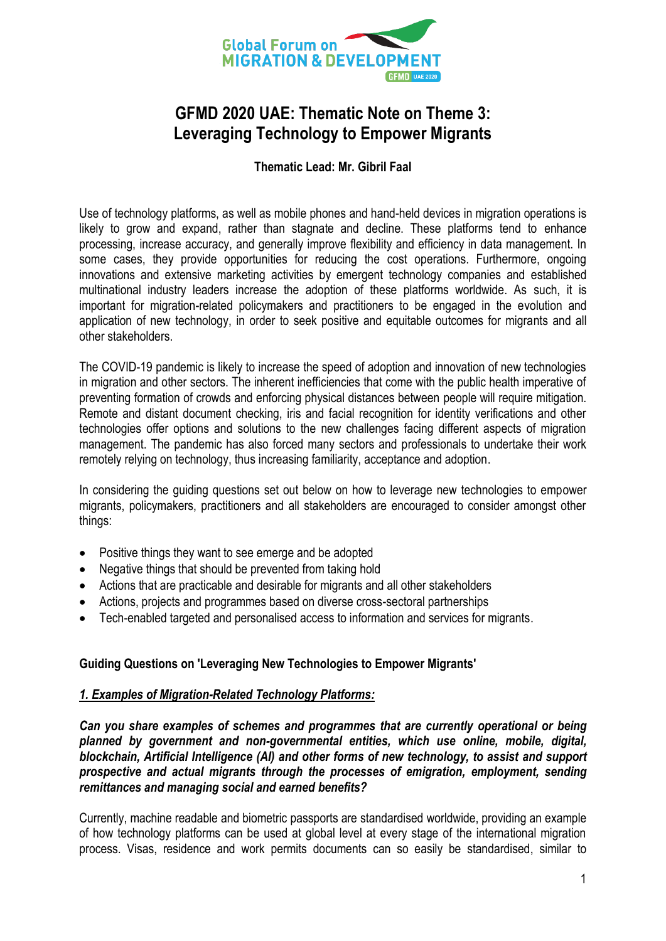

# **GFMD 2020 UAE: Thematic Note on Theme 3: Leveraging Technology to Empower Migrants**

## **Thematic Lead: Mr. Gibril Faal**

Use of technology platforms, as well as mobile phones and hand-held devices in migration operations is likely to grow and expand, rather than stagnate and decline. These platforms tend to enhance processing, increase accuracy, and generally improve flexibility and efficiency in data management. In some cases, they provide opportunities for reducing the cost operations. Furthermore, ongoing innovations and extensive marketing activities by emergent technology companies and established multinational industry leaders increase the adoption of these platforms worldwide. As such, it is important for migration-related policymakers and practitioners to be engaged in the evolution and application of new technology, in order to seek positive and equitable outcomes for migrants and all other stakeholders.

The COVID-19 pandemic is likely to increase the speed of adoption and innovation of new technologies in migration and other sectors. The inherent inefficiencies that come with the public health imperative of preventing formation of crowds and enforcing physical distances between people will require mitigation. Remote and distant document checking, iris and facial recognition for identity verifications and other technologies offer options and solutions to the new challenges facing different aspects of migration management. The pandemic has also forced many sectors and professionals to undertake their work remotely relying on technology, thus increasing familiarity, acceptance and adoption.

In considering the guiding questions set out below on how to leverage new technologies to empower migrants, policymakers, practitioners and all stakeholders are encouraged to consider amongst other things:

- Positive things they want to see emerge and be adopted
- Negative things that should be prevented from taking hold
- Actions that are practicable and desirable for migrants and all other stakeholders
- Actions, projects and programmes based on diverse cross-sectoral partnerships
- Tech-enabled targeted and personalised access to information and services for migrants.

## **Guiding Questions on 'Leveraging New Technologies to Empower Migrants'**

#### *1. Examples of Migration-Related Technology Platforms:*

*Can you share examples of schemes and programmes that are currently operational or being planned by government and non-governmental entities, which use online, mobile, digital, blockchain, Artificial Intelligence (AI) and other forms of new technology, to assist and support prospective and actual migrants through the processes of emigration, employment, sending remittances and managing social and earned benefits?*

Currently, machine readable and biometric passports are standardised worldwide, providing an example of how technology platforms can be used at global level at every stage of the international migration process. Visas, residence and work permits documents can so easily be standardised, similar to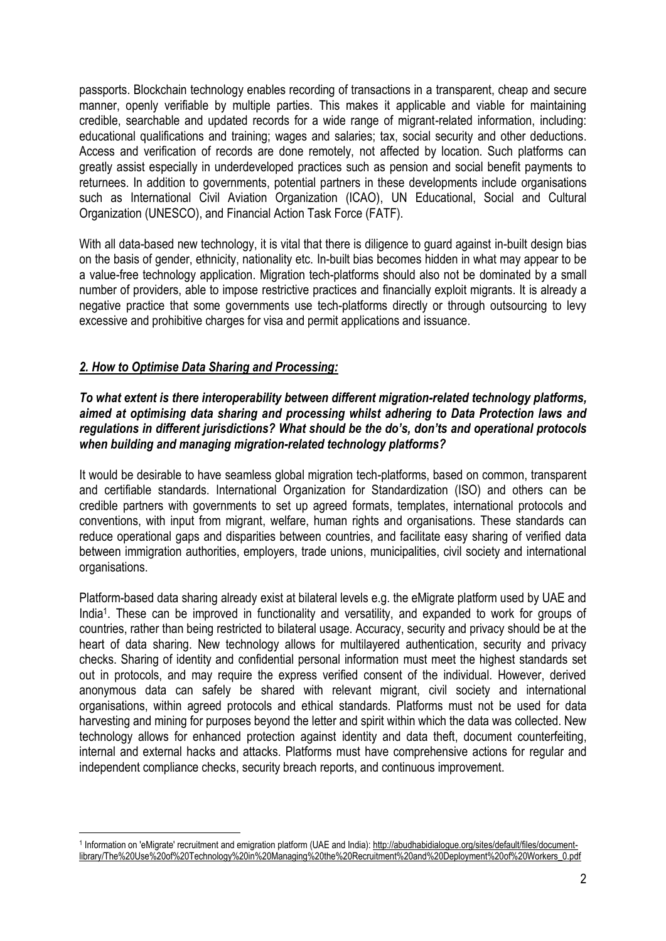passports. Blockchain technology enables recording of transactions in a transparent, cheap and secure manner, openly verifiable by multiple parties. This makes it applicable and viable for maintaining credible, searchable and updated records for a wide range of migrant-related information, including: educational qualifications and training; wages and salaries; tax, social security and other deductions. Access and verification of records are done remotely, not affected by location. Such platforms can greatly assist especially in underdeveloped practices such as pension and social benefit payments to returnees. In addition to governments, potential partners in these developments include organisations such as International Civil Aviation Organization (ICAO), UN Educational, Social and Cultural Organization (UNESCO), and Financial Action Task Force (FATF).

With all data-based new technology, it is vital that there is diligence to guard against in-built design bias on the basis of gender, ethnicity, nationality etc. In-built bias becomes hidden in what may appear to be a value-free technology application. Migration tech-platforms should also not be dominated by a small number of providers, able to impose restrictive practices and financially exploit migrants. It is already a negative practice that some governments use tech-platforms directly or through outsourcing to levy excessive and prohibitive charges for visa and permit applications and issuance.

# *2. How to Optimise Data Sharing and Processing:*

#### *To what extent is there interoperability between different migration-related technology platforms, aimed at optimising data sharing and processing whilst adhering to Data Protection laws and regulations in different jurisdictions? What should be the do's, don'ts and operational protocols when building and managing migration-related technology platforms?*

It would be desirable to have seamless global migration tech-platforms, based on common, transparent and certifiable standards. International Organization for Standardization (ISO) and others can be credible partners with governments to set up agreed formats, templates, international protocols and conventions, with input from migrant, welfare, human rights and organisations. These standards can reduce operational gaps and disparities between countries, and facilitate easy sharing of verified data between immigration authorities, employers, trade unions, municipalities, civil society and international organisations.

Platform-based data sharing already exist at bilateral levels e.g. the eMigrate platform used by UAE and India<sup>1</sup>. These can be improved in functionality and versatility, and expanded to work for groups of countries, rather than being restricted to bilateral usage. Accuracy, security and privacy should be at the heart of data sharing. New technology allows for multilayered authentication, security and privacy checks. Sharing of identity and confidential personal information must meet the highest standards set out in protocols, and may require the express verified consent of the individual. However, derived anonymous data can safely be shared with relevant migrant, civil society and international organisations, within agreed protocols and ethical standards. Platforms must not be used for data harvesting and mining for purposes beyond the letter and spirit within which the data was collected. New technology allows for enhanced protection against identity and data theft, document counterfeiting, internal and external hacks and attacks. Platforms must have comprehensive actions for regular and independent compliance checks, security breach reports, and continuous improvement.

 $\overline{a}$ <sup>1</sup> Information on 'eMigrate' recruitment and emigration platform (UAE and India)[: http://abudhabidialogue.org/sites/default/files/document](http://abudhabidialogue.org/sites/default/files/document-library/The%20Use%20of%20Technology%20in%20Managing%20the%20Recruitment%20and%20Deployment%20of%20Workers_0.pdf)[library/The%20Use%20of%20Technology%20in%20Managing%20the%20Recruitment%20and%20Deployment%20of%20Workers\\_0.pdf](http://abudhabidialogue.org/sites/default/files/document-library/The%20Use%20of%20Technology%20in%20Managing%20the%20Recruitment%20and%20Deployment%20of%20Workers_0.pdf)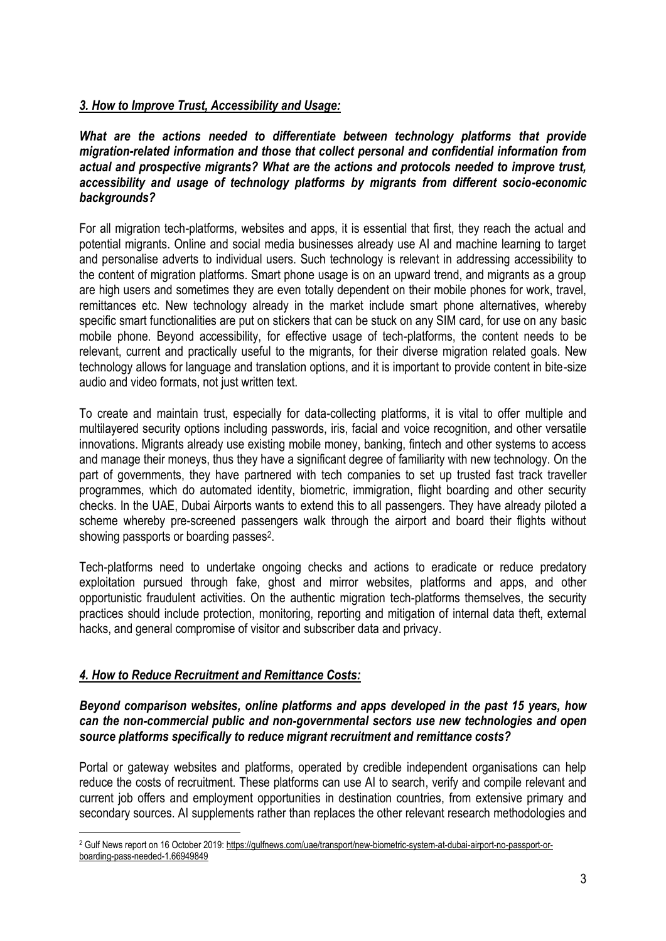# *3. How to Improve Trust, Accessibility and Usage:*

*What are the actions needed to differentiate between technology platforms that provide migration-related information and those that collect personal and confidential information from actual and prospective migrants? What are the actions and protocols needed to improve trust, accessibility and usage of technology platforms by migrants from different socio-economic backgrounds?*

For all migration tech-platforms, websites and apps, it is essential that first, they reach the actual and potential migrants. Online and social media businesses already use AI and machine learning to target and personalise adverts to individual users. Such technology is relevant in addressing accessibility to the content of migration platforms. Smart phone usage is on an upward trend, and migrants as a group are high users and sometimes they are even totally dependent on their mobile phones for work, travel, remittances etc. New technology already in the market include smart phone alternatives, whereby specific smart functionalities are put on stickers that can be stuck on any SIM card, for use on any basic mobile phone. Beyond accessibility, for effective usage of tech-platforms, the content needs to be relevant, current and practically useful to the migrants, for their diverse migration related goals. New technology allows for language and translation options, and it is important to provide content in bite-size audio and video formats, not just written text.

To create and maintain trust, especially for data-collecting platforms, it is vital to offer multiple and multilayered security options including passwords, iris, facial and voice recognition, and other versatile innovations. Migrants already use existing mobile money, banking, fintech and other systems to access and manage their moneys, thus they have a significant degree of familiarity with new technology. On the part of governments, they have partnered with tech companies to set up trusted fast track traveller programmes, which do automated identity, biometric, immigration, flight boarding and other security checks. In the UAE, Dubai Airports wants to extend this to all passengers. They have already piloted a scheme whereby pre-screened passengers walk through the airport and board their flights without showing passports or boarding passes<sup>2</sup>.

Tech-platforms need to undertake ongoing checks and actions to eradicate or reduce predatory exploitation pursued through fake, ghost and mirror websites, platforms and apps, and other opportunistic fraudulent activities. On the authentic migration tech-platforms themselves, the security practices should include protection, monitoring, reporting and mitigation of internal data theft, external hacks, and general compromise of visitor and subscriber data and privacy.

# *4. How to Reduce Recruitment and Remittance Costs:*

#### *Beyond comparison websites, online platforms and apps developed in the past 15 years, how can the non-commercial public and non-governmental sectors use new technologies and open source platforms specifically to reduce migrant recruitment and remittance costs?*

Portal or gateway websites and platforms, operated by credible independent organisations can help reduce the costs of recruitment. These platforms can use AI to search, verify and compile relevant and current job offers and employment opportunities in destination countries, from extensive primary and secondary sources. AI supplements rather than replaces the other relevant research methodologies and

 $\overline{a}$ <sup>2</sup> Gulf News report on 16 October 2019[: https://gulfnews.com/uae/transport/new-biometric-system-at-dubai-airport-no-passport-or](https://gulfnews.com/uae/transport/new-biometric-system-at-dubai-airport-no-passport-or-boarding-pass-needed-1.66949849)[boarding-pass-needed-1.66949849](https://gulfnews.com/uae/transport/new-biometric-system-at-dubai-airport-no-passport-or-boarding-pass-needed-1.66949849)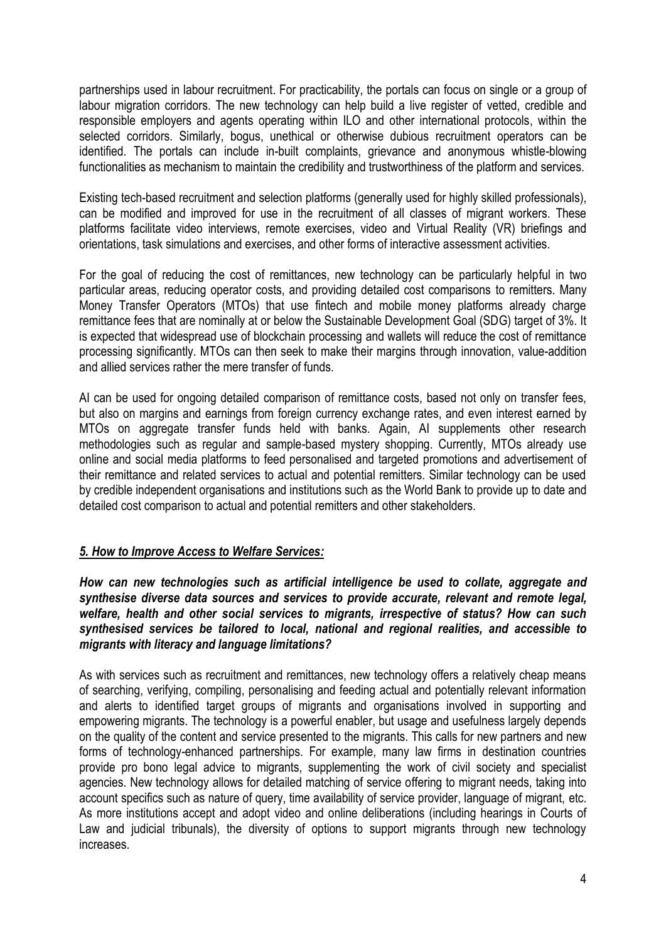partnerships used in labour recruitment. For practicability, the portals can focus on single or a group of labour migration corridors. The new technology can help build a live register of vetted, credible and responsible employers and agents operating within ILO and other international protocols, within the selected corridors. Similarly, bogus, unethical or otherwise dubious recruitment operators can be identified. The portals can include in-built complaints, grievance and anonymous whistle-blowing functionalities as mechanism to maintain the credibility and trustworthiness of the platform and services.

Existing tech-based recruitment and selection platforms (generally used for highly skilled professionals), can be modified and improved for use in the recruitment of all classes of migrant workers. These platforms facilitate video interviews, remote exercises, video and Virtual Reality (VR) briefings and orientations, task simulations and exercises, and other forms of interactive assessment activities.

For the goal of reducing the cost of remittances, new technology can be particularly helpful in two particular areas, reducing operator costs, and providing detailed cost comparisons to remitters. Many Money Transfer Operators (MTOs) that use fintech and mobile money platforms already charge remittance fees that are nominally at or below the Sustainable Development Goal (SDG) target of 3%. It is expected that widespread use of blockchain processing and wallets will reduce the cost of remittance processing significantly. MTOs can then seek to make their margins through innovation, value-addition and allied services rather the mere transfer of funds.

AI can be used for ongoing detailed comparison of remittance costs, based not only on transfer fees, but also on margins and earnings from foreign currency exchange rates, and even interest earned by MTOs on aggregate transfer funds held with banks. Again, AI supplements other research methodologies such as regular and sample-based mystery shopping. Currently, MTOs already use online and social media platforms to feed personalised and targeted promotions and advertisement of their remittance and related services to actual and potential remitters. Similar technology can be used by credible independent organisations and institutions such as the World Bank to provide up to date and detailed cost comparison to actual and potential remitters and other stakeholders.

## *5. How to Improve Access to Welfare Services:*

*How can new technologies such as artificial intelligence be used to collate, aggregate and synthesise diverse data sources and services to provide accurate, relevant and remote legal, welfare, health and other social services to migrants, irrespective of status? How can such synthesised services be tailored to local, national and regional realities, and accessible to migrants with literacy and language limitations?*

As with services such as recruitment and remittances, new technology offers a relatively cheap means of searching, verifying, compiling, personalising and feeding actual and potentially relevant information and alerts to identified target groups of migrants and organisations involved in supporting and empowering migrants. The technology is a powerful enabler, but usage and usefulness largely depends on the quality of the content and service presented to the migrants. This calls for new partners and new forms of technology-enhanced partnerships. For example, many law firms in destination countries provide pro bono legal advice to migrants, supplementing the work of civil society and specialist agencies. New technology allows for detailed matching of service offering to migrant needs, taking into account specifics such as nature of query, time availability of service provider, language of migrant, etc. As more institutions accept and adopt video and online deliberations (including hearings in Courts of Law and judicial tribunals), the diversity of options to support migrants through new technology increases.